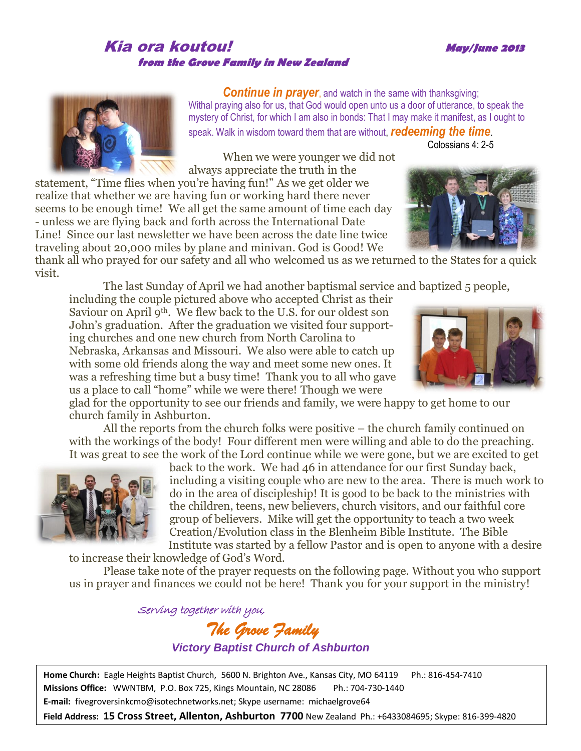## Kia ora koutou! **May/June <sup>2013</sup> from the Grove Family in New Zealand**

**Continue in prayer**, and watch in the same with thanksgiving; Withal praying also for us, that God would open unto us a door of utterance, to speak the mystery of Christ, for which I am also in bonds: That I may make it manifest, as I ought to speak. Walk in wisdom toward them that are without, *redeeming the time*.

When we were younger we did not always appreciate the truth in the

statement, "Time flies when you're having fun!" As we get older we realize that whether we are having fun or working hard there never seems to be enough time! We all get the same amount of time each day - unless we are flying back and forth across the International Date Line! Since our last newsletter we have been across the date line twice traveling about 20,000 miles by plane and minivan. God is Good! We

thank all who prayed for our safety and all who welcomed us as we returned to the States for a quick visit.

The last Sunday of April we had another baptismal service and baptized 5 people,

including the couple pictured above who accepted Christ as their Saviour on April 9<sup>th</sup>. We flew back to the U.S. for our oldest son John's graduation. After the graduation we visited four supporting churches and one new church from North Carolina to Nebraska, Arkansas and Missouri. We also were able to catch up with some old friends along the way and meet some new ones. It was a refreshing time but a busy time! Thank you to all who gave us a place to call "home" while we were there! Though we were

glad for the opportunity to see our friends and family, we were happy to get home to our church family in Ashburton.

All the reports from the church folks were positive – the church family continued on with the workings of the body! Four different men were willing and able to do the preaching. It was great to see the work of the Lord continue while we were gone, but we are excited to get

back to the work. We had 46 in attendance for our first Sunday back, including a visiting couple who are new to the area. There is much work to do in the area of discipleship! It is good to be back to the ministries with the children, teens, new believers, church visitors, and our faithful core group of believers. Mike will get the opportunity to teach a two week Creation/Evolution class in the Blenheim Bible Institute. The Bible Institute was started by a fellow Pastor and is open to anyone with a desire

to increase their knowledge of God's Word. Please take note of the prayer requests on the following page. Without you who support us in prayer and finances we could not be here! Thank you for your support in the ministry!

> *The Grove Family Victory Baptist Church of Ashburton*

Serving together with you,

**Home Church:** Eagle Heights Baptist Church, 5600 N. Brighton Ave., Kansas City, MO 64119 Ph.: 816-454-7410 **Missions Office:** WWNTBM, P.O. Box 725, Kings Mountain, NC 28086 Ph.: 704-730-1440 **E-mail:** fivegroversinkcmo@isotechnetworks.net; Skype username: michaelgrove64

**Field Address: 15 Cross Street, Allenton, Ashburton 7700** New Zealand Ph.: +6433084695; Skype: 816-399-4820









Colossians 4: 2-5